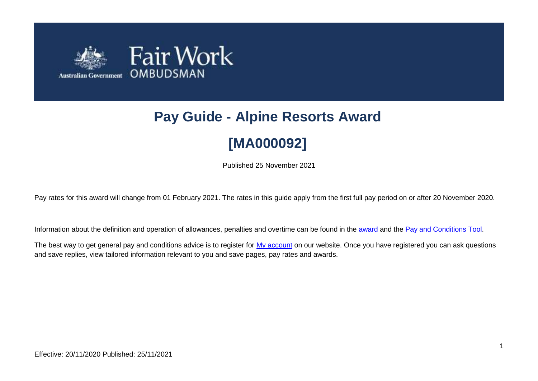

# **Pay Guide - Alpine Resorts Award [MA000092]**

Published 25 November 2021

Pay rates for this award will change from 01 February 2021. The rates in this guide apply from the first full pay period on or after 20 November 2020.

Information about the definition and operation of allowances, penalties and overtime can be found in the [award](https://www.fairwork.gov.au/awards-and-agreements/awards/list-of-awards) and the [Pay and Conditions Tool.](https://calculate.fairwork.gov.au/)

The best way to get general pay and conditions advice is to register for [My account](https://www.fairwork.gov.au/my-account/registerpage.aspx) on our website. Once you have registered you can ask questions and save replies, view tailored information relevant to you and save pages, pay rates and awards.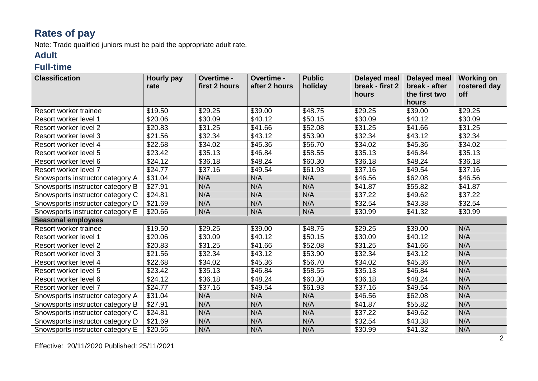## **Rates of pay**

Note: Trade qualified juniors must be paid the appropriate adult rate.

#### **Adult**

#### **Full-time**

| <b>Classification</b>            | Hourly pay<br>rate | Overtime -<br>first 2 hours | Overtime -<br>after 2 hours | <b>Public</b><br>holiday | <b>Delayed meal</b><br>break - first 2 | <b>Delayed meal</b><br>break - after | <b>Working on</b><br>rostered day |
|----------------------------------|--------------------|-----------------------------|-----------------------------|--------------------------|----------------------------------------|--------------------------------------|-----------------------------------|
|                                  |                    |                             |                             |                          | hours                                  | the first two                        | off                               |
|                                  |                    |                             |                             |                          |                                        | hours                                |                                   |
| Resort worker trainee            | \$19.50            | \$29.25                     | \$39.00                     | \$48.75                  | \$29.25                                | \$39.00                              | \$29.25                           |
| Resort worker level 1            | \$20.06            | \$30.09                     | \$40.12                     | \$50.15                  | \$30.09                                | \$40.12                              | \$30.09                           |
| Resort worker level 2            | \$20.83            | \$31.25                     | \$41.66                     | \$52.08                  | \$31.25                                | \$41.66                              | \$31.25                           |
| Resort worker level 3            | \$21.56            | \$32.34                     | \$43.12                     | \$53.90                  | \$32.34                                | \$43.12                              | \$32.34                           |
| Resort worker level 4            | \$22.68            | \$34.02                     | \$45.36                     | \$56.70                  | \$34.02                                | \$45.36                              | \$34.02                           |
| Resort worker level 5            | \$23.42            | \$35.13                     | \$46.84                     | \$58.55                  | \$35.13                                | \$46.84                              | \$35.13                           |
| Resort worker level 6            | \$24.12            | \$36.18                     | \$48.24                     | \$60.30                  | \$36.18                                | \$48.24                              | \$36.18                           |
| Resort worker level 7            | \$24.77            | \$37.16                     | \$49.54                     | \$61.93                  | \$37.16                                | \$49.54                              | \$37.16                           |
| Snowsports instructor category A | \$31.04            | N/A                         | N/A                         | N/A                      | \$46.56                                | \$62.08                              | \$46.56                           |
| Snowsports instructor category B | \$27.91            | N/A                         | N/A                         | N/A                      | \$41.87                                | \$55.82                              | \$41.87                           |
| Snowsports instructor category C | \$24.81            | N/A                         | N/A                         | N/A                      | \$37.22                                | \$49.62                              | \$37.22                           |
| Snowsports instructor category D | \$21.69            | N/A                         | N/A                         | N/A                      | \$32.54                                | \$43.38                              | \$32.54                           |
| Snowsports instructor category E | \$20.66            | N/A                         | N/A                         | N/A                      | \$30.99                                | \$41.32                              | \$30.99                           |
| <b>Seasonal employees</b>        |                    |                             |                             |                          |                                        |                                      |                                   |
| Resort worker trainee            | \$19.50            | \$29.25                     | \$39.00                     | \$48.75                  | \$29.25                                | \$39.00                              | N/A                               |
| Resort worker level 1            | \$20.06            | \$30.09                     | \$40.12                     | \$50.15                  | \$30.09                                | \$40.12                              | N/A                               |
| Resort worker level 2            | \$20.83            | \$31.25                     | \$41.66                     | \$52.08                  | \$31.25                                | \$41.66                              | N/A                               |
| Resort worker level 3            | \$21.56            | \$32.34                     | \$43.12                     | \$53.90                  | \$32.34                                | \$43.12                              | N/A                               |
| Resort worker level 4            | \$22.68            | \$34.02                     | \$45.36                     | \$56.70                  | \$34.02                                | \$45.36                              | N/A                               |
| Resort worker level 5            | \$23.42            | \$35.13                     | \$46.84                     | \$58.55                  | \$35.13                                | \$46.84                              | N/A                               |
| Resort worker level 6            | \$24.12            | \$36.18                     | \$48.24                     | \$60.30                  | \$36.18                                | \$48.24                              | N/A                               |
| Resort worker level 7            | \$24.77            | \$37.16                     | \$49.54                     | \$61.93                  | \$37.16                                | \$49.54                              | N/A                               |
| Snowsports instructor category A | \$31.04            | N/A                         | N/A                         | N/A                      | \$46.56                                | \$62.08                              | N/A                               |
| Snowsports instructor category B | \$27.91            | N/A                         | N/A                         | N/A                      | \$41.87                                | \$55.82                              | N/A                               |
| Snowsports instructor category C | \$24.81            | N/A                         | N/A                         | N/A                      | \$37.22                                | \$49.62                              | N/A                               |
| Snowsports instructor category D | \$21.69            | N/A                         | N/A                         | N/A                      | \$32.54                                | \$43.38                              | N/A                               |
| Snowsports instructor category E | \$20.66            | N/A                         | N/A                         | N/A                      | \$30.99                                | \$41.32                              | N/A                               |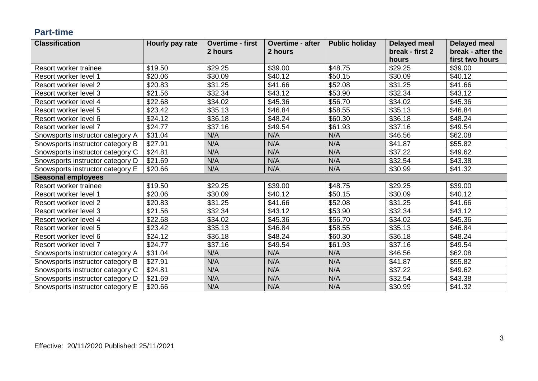#### **Part-time**

| <b>Classification</b>            | Hourly pay rate | <b>Overtime - first</b> | <b>Overtime - after</b> | <b>Public holiday</b> | <b>Delayed meal</b> | <b>Delayed meal</b> |
|----------------------------------|-----------------|-------------------------|-------------------------|-----------------------|---------------------|---------------------|
|                                  |                 | 2 hours                 | 2 hours                 |                       | break - first 2     | break - after the   |
|                                  |                 |                         |                         |                       | hours               | first two hours     |
| Resort worker trainee            | \$19.50         | \$29.25                 | \$39.00                 | \$48.75               | \$29.25             | \$39.00             |
| Resort worker level 1            | \$20.06         | \$30.09                 | \$40.12                 | \$50.15               | \$30.09             | \$40.12             |
| Resort worker level 2            | \$20.83         | \$31.25                 | \$41.66                 | \$52.08               | \$31.25             | \$41.66             |
| Resort worker level 3            | \$21.56         | \$32.34                 | \$43.12                 | \$53.90               | \$32.34             | \$43.12             |
| Resort worker level 4            | \$22.68         | \$34.02                 | \$45.36                 | \$56.70               | \$34.02             | \$45.36             |
| Resort worker level 5            | \$23.42         | \$35.13                 | \$46.84                 | \$58.55               | \$35.13             | \$46.84             |
| Resort worker level 6            | \$24.12         | \$36.18                 | \$48.24                 | \$60.30               | \$36.18             | \$48.24             |
| Resort worker level 7            | \$24.77         | \$37.16                 | \$49.54                 | \$61.93               | \$37.16             | \$49.54             |
| Snowsports instructor category A | \$31.04         | N/A                     | N/A                     | N/A                   | \$46.56             | \$62.08             |
| Snowsports instructor category B | \$27.91         | N/A                     | N/A                     | N/A                   | \$41.87             | \$55.82             |
| Snowsports instructor category C | \$24.81         | N/A                     | N/A                     | N/A                   | \$37.22             | \$49.62             |
| Snowsports instructor category D | \$21.69         | N/A                     | N/A                     | N/A                   | \$32.54             | \$43.38             |
| Snowsports instructor category E | \$20.66         | N/A                     | N/A                     | N/A                   | \$30.99             | \$41.32             |
| <b>Seasonal employees</b>        |                 |                         |                         |                       |                     |                     |
| Resort worker trainee            | \$19.50         | \$29.25                 | \$39.00                 | \$48.75               | \$29.25             | \$39.00             |
| Resort worker level 1            | \$20.06         | \$30.09                 | \$40.12                 | \$50.15               | \$30.09             | \$40.12             |
| Resort worker level 2            | \$20.83         | \$31.25                 | \$41.66                 | \$52.08               | \$31.25             | \$41.66             |
| Resort worker level 3            | \$21.56         | \$32.34                 | \$43.12                 | \$53.90               | \$32.34             | \$43.12             |
| Resort worker level 4            | \$22.68         | \$34.02                 | \$45.36                 | \$56.70               | \$34.02             | \$45.36             |
| Resort worker level 5            | \$23.42         | \$35.13                 | \$46.84                 | \$58.55               | \$35.13             | \$46.84             |
| Resort worker level 6            | \$24.12         | \$36.18                 | \$48.24                 | \$60.30               | \$36.18             | \$48.24             |
| Resort worker level 7            | \$24.77         | \$37.16                 | \$49.54                 | \$61.93               | \$37.16             | \$49.54             |
| Snowsports instructor category A | \$31.04         | N/A                     | N/A                     | N/A                   | \$46.56             | \$62.08             |
| Snowsports instructor category B | \$27.91         | N/A                     | N/A                     | N/A                   | \$41.87             | \$55.82             |
| Snowsports instructor category C | \$24.81         | N/A                     | N/A                     | N/A                   | \$37.22             | \$49.62             |
| Snowsports instructor category D | \$21.69         | N/A                     | N/A                     | N/A                   | \$32.54             | \$43.38             |
| Snowsports instructor category E | \$20.66         | N/A                     | N/A                     | N/A                   | \$30.99             | \$41.32             |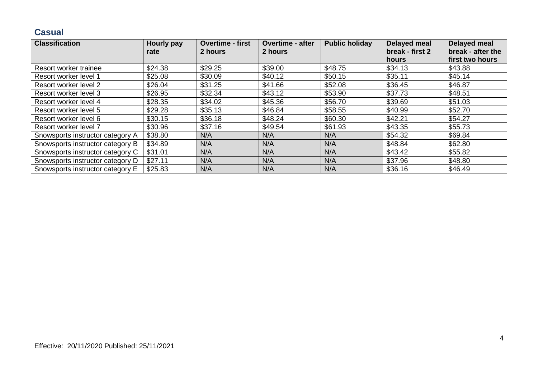#### **Casual**

| <b>Classification</b>            | <b>Hourly pay</b> | <b>Overtime - first</b> | <b>Overtime - after</b> | <b>Public holiday</b> | Delayed meal             | <b>Delayed meal</b>                  |
|----------------------------------|-------------------|-------------------------|-------------------------|-----------------------|--------------------------|--------------------------------------|
|                                  | rate              | 2 hours                 | 2 hours                 |                       | break - first 2<br>hours | break - after the<br>first two hours |
| Resort worker trainee            | \$24.38           | \$29.25                 | \$39.00                 | \$48.75               | \$34.13                  | \$43.88                              |
| Resort worker level 1            | \$25.08           | \$30.09                 | \$40.12                 | \$50.15               | \$35.11                  | \$45.14                              |
| Resort worker level 2            | \$26.04           | \$31.25                 | \$41.66                 | \$52.08               | \$36.45                  | \$46.87                              |
| Resort worker level 3            | \$26.95           | \$32.34                 | \$43.12                 | \$53.90               | \$37.73                  | \$48.51                              |
| Resort worker level 4            | \$28.35           | \$34.02                 | \$45.36                 | \$56.70               | \$39.69                  | \$51.03                              |
| Resort worker level 5            | \$29.28           | \$35.13                 | \$46.84                 | \$58.55               | \$40.99                  | \$52.70                              |
| Resort worker level 6            | \$30.15           | \$36.18                 | \$48.24                 | \$60.30               | \$42.21                  | \$54.27                              |
| Resort worker level 7            | \$30.96           | \$37.16                 | \$49.54                 | \$61.93               | \$43.35                  | \$55.73                              |
| Snowsports instructor category A | \$38.80           | N/A                     | N/A                     | N/A                   | \$54.32                  | \$69.84                              |
| Snowsports instructor category B | \$34.89           | N/A                     | N/A                     | N/A                   | \$48.84                  | \$62.80                              |
| Snowsports instructor category C | \$31.01           | N/A                     | N/A                     | N/A                   | \$43.42                  | \$55.82                              |
| Snowsports instructor category D | \$27.11           | N/A                     | N/A                     | N/A                   | \$37.96                  | \$48.80                              |
| Snowsports instructor category E | \$25.83           | N/A                     | N/A                     | N/A                   | \$36.16                  | \$46.49                              |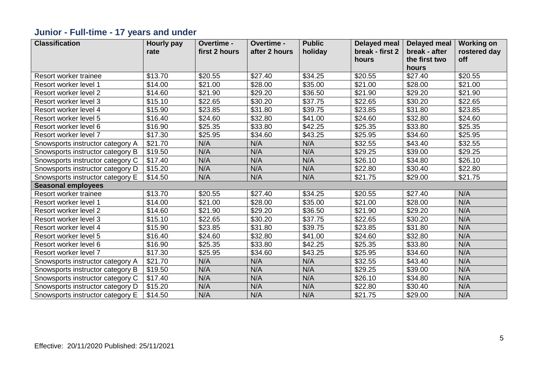## **Junior - Full-time - 17 years and under**

| <b>Classification</b>            | <b>Hourly pay</b> | Overtime -    | Overtime -    | <b>Public</b> | <b>Delayed meal</b> | <b>Delayed meal</b> | <b>Working on</b> |
|----------------------------------|-------------------|---------------|---------------|---------------|---------------------|---------------------|-------------------|
|                                  | rate              | first 2 hours | after 2 hours | holiday       | break - first 2     | break - after       | rostered day      |
|                                  |                   |               |               |               | hours               | the first two       | off               |
|                                  |                   |               |               |               |                     | hours               |                   |
| Resort worker trainee            | \$13.70           | \$20.55       | \$27.40       | \$34.25       | \$20.55             | \$27.40             | \$20.55           |
| Resort worker level 1            | \$14.00           | \$21.00       | \$28.00       | \$35.00       | \$21.00             | \$28.00             | \$21.00           |
| Resort worker level 2            | \$14.60           | \$21.90       | \$29.20       | \$36.50       | \$21.90             | \$29.20             | \$21.90           |
| Resort worker level 3            | \$15.10           | \$22.65       | \$30.20       | \$37.75       | \$22.65             | \$30.20             | \$22.65           |
| Resort worker level 4            | \$15.90           | \$23.85       | \$31.80       | \$39.75       | \$23.85             | \$31.80             | \$23.85           |
| Resort worker level 5            | \$16.40           | \$24.60       | \$32.80       | \$41.00       | \$24.60             | \$32.80             | \$24.60           |
| Resort worker level 6            | \$16.90           | \$25.35       | \$33.80       | \$42.25       | \$25.35             | \$33.80             | \$25.35           |
| Resort worker level 7            | \$17.30           | \$25.95       | \$34.60       | \$43.25       | \$25.95             | \$34.60             | \$25.95           |
| Snowsports instructor category A | \$21.70           | N/A           | N/A           | N/A           | \$32.55             | \$43.40             | \$32.55           |
| Snowsports instructor category B | \$19.50           | N/A           | N/A           | N/A           | \$29.25             | \$39.00             | \$29.25           |
| Snowsports instructor category C | \$17.40           | N/A           | N/A           | N/A           | \$26.10             | \$34.80             | \$26.10           |
| Snowsports instructor category D | \$15.20           | N/A           | N/A           | N/A           | \$22.80             | \$30.40             | \$22.80           |
| Snowsports instructor category E | \$14.50           | N/A           | N/A           | N/A           | \$21.75             | \$29.00             | \$21.75           |
| <b>Seasonal employees</b>        |                   |               |               |               |                     |                     |                   |
| Resort worker trainee            | \$13.70           | \$20.55       | \$27.40       | \$34.25       | \$20.55             | \$27.40             | N/A               |
| Resort worker level 1            | \$14.00           | \$21.00       | \$28.00       | \$35.00       | \$21.00             | \$28.00             | N/A               |
| Resort worker level 2            | \$14.60           | \$21.90       | \$29.20       | \$36.50       | \$21.90             | \$29.20             | N/A               |
| Resort worker level 3            | \$15.10           | \$22.65       | \$30.20       | \$37.75       | \$22.65             | \$30.20             | N/A               |
| Resort worker level 4            | \$15.90           | \$23.85       | \$31.80       | \$39.75       | \$23.85             | \$31.80             | N/A               |
| Resort worker level 5            | \$16.40           | \$24.60       | \$32.80       | \$41.00       | \$24.60             | \$32.80             | N/A               |
| Resort worker level 6            | \$16.90           | \$25.35       | \$33.80       | \$42.25       | \$25.35             | \$33.80             | N/A               |
| Resort worker level 7            | \$17.30           | \$25.95       | \$34.60       | \$43.25       | \$25.95             | \$34.60             | N/A               |
| Snowsports instructor category A | \$21.70           | N/A           | N/A           | N/A           | \$32.55             | \$43.40             | N/A               |
| Snowsports instructor category B | \$19.50           | N/A           | N/A           | N/A           | \$29.25             | \$39.00             | N/A               |
| Snowsports instructor category C | \$17.40           | N/A           | N/A           | N/A           | \$26.10             | \$34.80             | N/A               |
| Snowsports instructor category D | \$15.20           | N/A           | N/A           | N/A           | \$22.80             | \$30.40             | N/A               |
| Snowsports instructor category E | \$14.50           | N/A           | N/A           | N/A           | \$21.75             | \$29.00             | N/A               |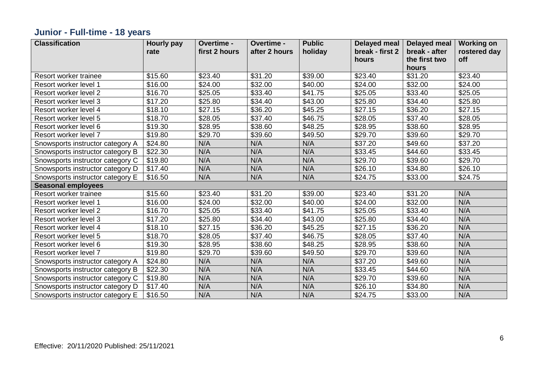## **Junior - Full-time - 18 years**

| <b>Classification</b>            | <b>Hourly pay</b> | Overtime -    | Overtime -    | <b>Public</b> | <b>Delayed meal</b> | <b>Delayed meal</b> | <b>Working on</b> |
|----------------------------------|-------------------|---------------|---------------|---------------|---------------------|---------------------|-------------------|
|                                  | rate              | first 2 hours | after 2 hours | holiday       | break - first 2     | break - after       | rostered day      |
|                                  |                   |               |               |               | hours               | the first two       | off               |
|                                  |                   |               |               |               |                     | hours               |                   |
| Resort worker trainee            | \$15.60           | \$23.40       | \$31.20       | \$39.00       | \$23.40             | \$31.20             | \$23.40           |
| Resort worker level 1            | \$16.00           | \$24.00       | \$32.00       | \$40.00       | \$24.00             | \$32.00             | \$24.00           |
| Resort worker level 2            | \$16.70           | \$25.05       | \$33.40       | \$41.75       | \$25.05             | \$33.40             | \$25.05           |
| Resort worker level 3            | \$17.20           | \$25.80       | \$34.40       | \$43.00       | \$25.80             | \$34.40             | \$25.80           |
| Resort worker level 4            | \$18.10           | \$27.15       | \$36.20       | \$45.25       | \$27.15             | \$36.20             | \$27.15           |
| Resort worker level 5            | \$18.70           | \$28.05       | \$37.40       | \$46.75       | \$28.05             | \$37.40             | \$28.05           |
| Resort worker level 6            | \$19.30           | \$28.95       | \$38.60       | \$48.25       | \$28.95             | \$38.60             | \$28.95           |
| Resort worker level 7            | \$19.80           | \$29.70       | \$39.60       | \$49.50       | \$29.70             | \$39.60             | \$29.70           |
| Snowsports instructor category A | \$24.80           | N/A           | N/A           | N/A           | \$37.20             | \$49.60             | \$37.20           |
| Snowsports instructor category B | \$22.30           | N/A           | N/A           | N/A           | \$33.45             | \$44.60             | \$33.45           |
| Snowsports instructor category C | \$19.80           | N/A           | N/A           | N/A           | \$29.70             | \$39.60             | \$29.70           |
| Snowsports instructor category D | \$17.40           | N/A           | N/A           | N/A           | \$26.10             | \$34.80             | \$26.10           |
| Snowsports instructor category E | \$16.50           | N/A           | N/A           | N/A           | \$24.75             | \$33.00             | \$24.75           |
| <b>Seasonal employees</b>        |                   |               |               |               |                     |                     |                   |
| Resort worker trainee            | \$15.60           | \$23.40       | \$31.20       | \$39.00       | \$23.40             | \$31.20             | N/A               |
| Resort worker level 1            | \$16.00           | \$24.00       | \$32.00       | \$40.00       | \$24.00             | \$32.00             | N/A               |
| Resort worker level 2            | \$16.70           | \$25.05       | \$33.40       | \$41.75       | \$25.05             | \$33.40             | N/A               |
| Resort worker level 3            | \$17.20           | \$25.80       | \$34.40       | \$43.00       | \$25.80             | \$34.40             | N/A               |
| Resort worker level 4            | \$18.10           | \$27.15       | \$36.20       | \$45.25       | \$27.15             | \$36.20             | N/A               |
| Resort worker level 5            | \$18.70           | \$28.05       | \$37.40       | \$46.75       | \$28.05             | \$37.40             | N/A               |
| Resort worker level 6            | \$19.30           | \$28.95       | \$38.60       | \$48.25       | \$28.95             | \$38.60             | N/A               |
| Resort worker level 7            | \$19.80           | \$29.70       | \$39.60       | \$49.50       | \$29.70             | \$39.60             | N/A               |
| Snowsports instructor category A | \$24.80           | N/A           | N/A           | N/A           | \$37.20             | \$49.60             | N/A               |
| Snowsports instructor category B | \$22.30           | N/A           | N/A           | N/A           | \$33.45             | \$44.60             | N/A               |
| Snowsports instructor category C | \$19.80           | N/A           | N/A           | N/A           | \$29.70             | \$39.60             | N/A               |
| Snowsports instructor category D | \$17.40           | N/A           | N/A           | N/A           | \$26.10             | \$34.80             | N/A               |
| Snowsports instructor category E | \$16.50           | N/A           | N/A           | N/A           | \$24.75             | \$33.00             | N/A               |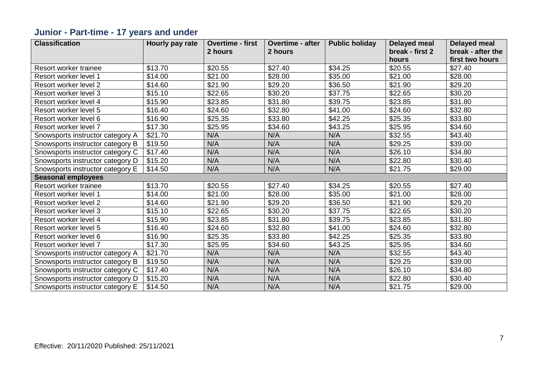## **Junior - Part-time - 17 years and under**

| <b>Classification</b>            | Hourly pay rate | <b>Overtime - first</b> | <b>Overtime - after</b> | <b>Public holiday</b> | <b>Delayed meal</b> | <b>Delayed meal</b> |
|----------------------------------|-----------------|-------------------------|-------------------------|-----------------------|---------------------|---------------------|
|                                  |                 | 2 hours                 | 2 hours                 |                       | break - first 2     | break - after the   |
|                                  |                 |                         |                         |                       | hours               | first two hours     |
| Resort worker trainee            | \$13.70         | \$20.55                 | \$27.40                 | \$34.25               | \$20.55             | \$27.40             |
| Resort worker level 1            | \$14.00         | \$21.00                 | \$28.00                 | \$35.00               | \$21.00             | \$28.00             |
| Resort worker level 2            | \$14.60         | \$21.90                 | \$29.20                 | \$36.50               | \$21.90             | \$29.20             |
| Resort worker level 3            | \$15.10         | \$22.65                 | \$30.20                 | \$37.75               | \$22.65             | \$30.20             |
| Resort worker level 4            | \$15.90         | \$23.85                 | \$31.80                 | \$39.75               | \$23.85             | \$31.80             |
| Resort worker level 5            | \$16.40         | \$24.60                 | \$32.80                 | \$41.00               | \$24.60             | \$32.80             |
| Resort worker level 6            | \$16.90         | \$25.35                 | \$33.80                 | \$42.25               | \$25.35             | \$33.80             |
| Resort worker level 7            | \$17.30         | \$25.95                 | \$34.60                 | \$43.25               | \$25.95             | \$34.60             |
| Snowsports instructor category A | \$21.70         | N/A                     | N/A                     | N/A                   | \$32.55             | \$43.40             |
| Snowsports instructor category B | \$19.50         | N/A                     | N/A                     | N/A                   | \$29.25             | \$39.00             |
| Snowsports instructor category C | \$17.40         | N/A                     | N/A                     | N/A                   | \$26.10             | \$34.80             |
| Snowsports instructor category D | \$15.20         | N/A                     | N/A                     | N/A                   | \$22.80             | \$30.40             |
| Snowsports instructor category E | \$14.50         | N/A                     | N/A                     | N/A                   | \$21.75             | \$29.00             |
| <b>Seasonal employees</b>        |                 |                         |                         |                       |                     |                     |
| Resort worker trainee            | \$13.70         | \$20.55                 | \$27.40                 | \$34.25               | \$20.55             | \$27.40             |
| Resort worker level 1            | \$14.00         | \$21.00                 | \$28.00                 | \$35.00               | \$21.00             | \$28.00             |
| Resort worker level 2            | \$14.60         | \$21.90                 | \$29.20                 | \$36.50               | \$21.90             | \$29.20             |
| Resort worker level 3            | \$15.10         | \$22.65                 | \$30.20                 | \$37.75               | \$22.65             | \$30.20             |
| Resort worker level 4            | \$15.90         | \$23.85                 | \$31.80                 | \$39.75               | \$23.85             | \$31.80             |
| Resort worker level 5            | \$16.40         | \$24.60                 | \$32.80                 | \$41.00               | \$24.60             | \$32.80             |
| Resort worker level 6            | \$16.90         | \$25.35                 | \$33.80                 | \$42.25               | \$25.35             | \$33.80             |
| Resort worker level 7            | \$17.30         | \$25.95                 | \$34.60                 | \$43.25               | \$25.95             | \$34.60             |
| Snowsports instructor category A | \$21.70         | N/A                     | N/A                     | N/A                   | \$32.55             | \$43.40             |
| Snowsports instructor category B | \$19.50         | N/A                     | N/A                     | N/A                   | \$29.25             | \$39.00             |
| Snowsports instructor category C | \$17.40         | N/A                     | N/A                     | N/A                   | \$26.10             | \$34.80             |
| Snowsports instructor category D | \$15.20         | N/A                     | N/A                     | N/A                   | \$22.80             | \$30.40             |
| Snowsports instructor category E | \$14.50         | N/A                     | N/A                     | N/A                   | \$21.75             | \$29.00             |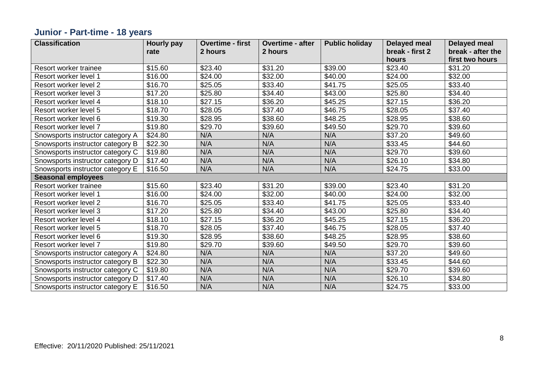## **Junior - Part-time - 18 years**

| <b>Classification</b>            | <b>Hourly pay</b> | <b>Overtime - first</b> | <b>Overtime - after</b> | <b>Public holiday</b> | <b>Delayed meal</b> | <b>Delayed meal</b> |
|----------------------------------|-------------------|-------------------------|-------------------------|-----------------------|---------------------|---------------------|
|                                  | rate              | 2 hours                 | 2 hours                 |                       | break - first 2     | break - after the   |
|                                  |                   |                         |                         |                       | hours               | first two hours     |
| Resort worker trainee            | \$15.60           | \$23.40                 | \$31.20                 | \$39.00               | \$23.40             | \$31.20             |
| Resort worker level 1            | \$16.00           | \$24.00                 | \$32.00                 | \$40.00               | \$24.00             | \$32.00             |
| Resort worker level 2            | \$16.70           | \$25.05                 | \$33.40                 | \$41.75               | \$25.05             | \$33.40             |
| Resort worker level 3            | \$17.20           | \$25.80                 | \$34.40                 | \$43.00               | \$25.80             | \$34.40             |
| Resort worker level 4            | \$18.10           | \$27.15                 | \$36.20                 | \$45.25               | \$27.15             | \$36.20             |
| Resort worker level 5            | \$18.70           | \$28.05                 | \$37.40                 | \$46.75               | \$28.05             | \$37.40             |
| Resort worker level 6            | \$19.30           | \$28.95                 | \$38.60                 | \$48.25               | \$28.95             | \$38.60             |
| Resort worker level 7            | \$19.80           | \$29.70                 | \$39.60                 | \$49.50               | \$29.70             | \$39.60             |
| Snowsports instructor category A | \$24.80           | N/A                     | N/A                     | N/A                   | \$37.20             | \$49.60             |
| Snowsports instructor category B | \$22.30           | N/A                     | N/A                     | N/A                   | \$33.45             | \$44.60             |
| Snowsports instructor category C | \$19.80           | N/A                     | N/A                     | N/A                   | \$29.70             | \$39.60             |
| Snowsports instructor category D | \$17.40           | N/A                     | N/A                     | N/A                   | \$26.10             | \$34.80             |
| Snowsports instructor category E | \$16.50           | N/A                     | N/A                     | N/A                   | \$24.75             | \$33.00             |
| <b>Seasonal employees</b>        |                   |                         |                         |                       |                     |                     |
| Resort worker trainee            | \$15.60           | \$23.40                 | \$31.20                 | \$39.00               | \$23.40             | \$31.20             |
| Resort worker level 1            | \$16.00           | \$24.00                 | \$32.00                 | \$40.00               | \$24.00             | \$32.00             |
| Resort worker level 2            | \$16.70           | \$25.05                 | \$33.40                 | \$41.75               | \$25.05             | \$33.40             |
| Resort worker level 3            | \$17.20           | \$25.80                 | \$34.40                 | \$43.00               | \$25.80             | \$34.40             |
| Resort worker level 4            | \$18.10           | \$27.15                 | \$36.20                 | \$45.25               | \$27.15             | \$36.20             |
| Resort worker level 5            | \$18.70           | \$28.05                 | \$37.40                 | \$46.75               | \$28.05             | \$37.40             |
| Resort worker level 6            | \$19.30           | \$28.95                 | \$38.60                 | \$48.25               | \$28.95             | \$38.60             |
| Resort worker level 7            | \$19.80           | \$29.70                 | \$39.60                 | \$49.50               | \$29.70             | \$39.60             |
| Snowsports instructor category A | \$24.80           | N/A                     | N/A                     | N/A                   | \$37.20             | \$49.60             |
| Snowsports instructor category B | \$22.30           | N/A                     | N/A                     | N/A                   | \$33.45             | \$44.60             |
| Snowsports instructor category C | \$19.80           | N/A                     | N/A                     | N/A                   | \$29.70             | \$39.60             |
| Snowsports instructor category D | \$17.40           | N/A                     | N/A                     | N/A                   | \$26.10             | \$34.80             |
| Snowsports instructor category E | \$16.50           | N/A                     | N/A                     | N/A                   | \$24.75             | \$33.00             |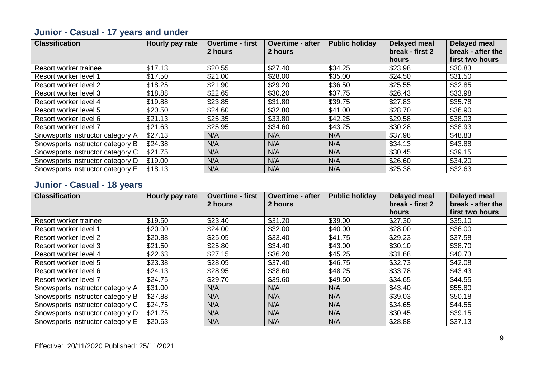| <b>Classification</b>            | Hourly pay rate | <b>Overtime - first</b><br>2 hours | <b>Overtime - after</b><br>2 hours | <b>Public holiday</b> | Delayed meal<br>break - first 2<br>hours | <b>Delayed meal</b><br>break - after the<br>first two hours |
|----------------------------------|-----------------|------------------------------------|------------------------------------|-----------------------|------------------------------------------|-------------------------------------------------------------|
| Resort worker trainee            | \$17.13         | \$20.55                            | \$27.40                            | \$34.25               | \$23.98                                  | \$30.83                                                     |
| Resort worker level 1            | \$17.50         | \$21.00                            | \$28.00                            | \$35.00               | \$24.50                                  | \$31.50                                                     |
| Resort worker level 2            | \$18.25         | \$21.90                            | \$29.20                            | \$36.50               | \$25.55                                  | \$32.85                                                     |
| Resort worker level 3            | \$18.88         | \$22.65                            | \$30.20                            | \$37.75               | \$26.43                                  | \$33.98                                                     |
| Resort worker level 4            | \$19.88         | \$23.85                            | \$31.80                            | \$39.75               | \$27.83                                  | \$35.78                                                     |
| Resort worker level 5            | \$20.50         | \$24.60                            | \$32.80                            | \$41.00               | \$28.70                                  | \$36.90                                                     |
| Resort worker level 6            | \$21.13         | \$25.35                            | \$33.80                            | \$42.25               | \$29.58                                  | \$38.03                                                     |
| Resort worker level 7            | \$21.63         | \$25.95                            | \$34.60                            | \$43.25               | \$30.28                                  | \$38.93                                                     |
| Snowsports instructor category A | \$27.13         | N/A                                | N/A                                | N/A                   | \$37.98                                  | \$48.83                                                     |
| Snowsports instructor category B | \$24.38         | N/A                                | N/A                                | N/A                   | \$34.13                                  | \$43.88                                                     |
| Snowsports instructor category C | \$21.75         | N/A                                | N/A                                | N/A                   | \$30.45                                  | \$39.15                                                     |
| Snowsports instructor category D | \$19.00         | N/A                                | N/A                                | N/A                   | \$26.60                                  | \$34.20                                                     |
| Snowsports instructor category E | \$18.13         | N/A                                | N/A                                | N/A                   | \$25.38                                  | \$32.63                                                     |

#### **Junior - Casual - 17 years and under**

#### **Junior - Casual - 18 years**

| <b>Classification</b>            | Hourly pay rate | <b>Overtime - first</b><br>2 hours | <b>Overtime - after</b><br>2 hours | <b>Public holiday</b> | <b>Delayed meal</b><br>break - first 2 | <b>Delayed meal</b><br>break - after the |
|----------------------------------|-----------------|------------------------------------|------------------------------------|-----------------------|----------------------------------------|------------------------------------------|
|                                  |                 |                                    |                                    |                       | hours                                  | first two hours                          |
| Resort worker trainee            | \$19.50         | \$23.40                            | \$31.20                            | \$39.00               | \$27.30                                | \$35.10                                  |
| Resort worker level 1            | \$20.00         | \$24.00                            | \$32.00                            | \$40.00               | \$28.00                                | \$36.00                                  |
| Resort worker level 2            | \$20.88         | \$25.05                            | \$33.40                            | \$41.75               | \$29.23                                | \$37.58                                  |
| Resort worker level 3            | \$21.50         | \$25.80                            | \$34.40                            | \$43.00               | \$30.10                                | \$38.70                                  |
| Resort worker level 4            | \$22.63         | \$27.15                            | \$36.20                            | \$45.25               | \$31.68                                | \$40.73                                  |
| Resort worker level 5            | \$23.38         | \$28.05                            | \$37.40                            | \$46.75               | \$32.73                                | \$42.08                                  |
| Resort worker level 6            | \$24.13         | \$28.95                            | \$38.60                            | \$48.25               | \$33.78                                | \$43.43                                  |
| Resort worker level 7            | \$24.75         | \$29.70                            | \$39.60                            | \$49.50               | \$34.65                                | \$44.55                                  |
| Snowsports instructor category A | \$31.00         | N/A                                | N/A                                | N/A                   | \$43.40                                | \$55.80                                  |
| Snowsports instructor category B | \$27.88         | N/A                                | N/A                                | N/A                   | \$39.03                                | \$50.18                                  |
| Snowsports instructor category C | \$24.75         | N/A                                | N/A                                | N/A                   | \$34.65                                | \$44.55                                  |
| Snowsports instructor category D | \$21.75         | N/A                                | N/A                                | N/A                   | \$30.45                                | \$39.15                                  |
| Snowsports instructor category E | \$20.63         | N/A                                | N/A                                | N/A                   | \$28.88                                | \$37.13                                  |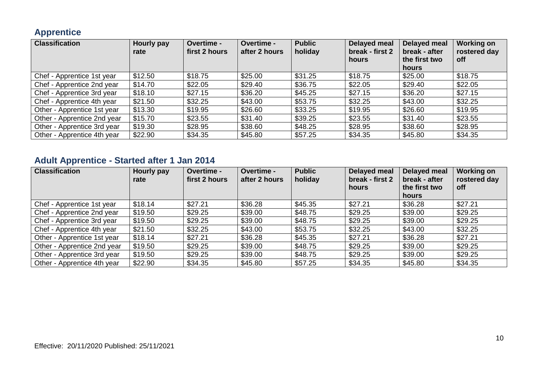#### **Apprentice**

| <b>Classification</b>       | Hourly pay<br>rate | Overtime -<br>first 2 hours | Overtime -<br>after 2 hours | <b>Public</b><br>holiday | <b>Delayed meal</b><br>break - first 2<br>hours | Delayed meal<br>break - after<br>the first two<br>hours | <b>Working on</b><br>rostered day<br>off |
|-----------------------------|--------------------|-----------------------------|-----------------------------|--------------------------|-------------------------------------------------|---------------------------------------------------------|------------------------------------------|
| Chef - Apprentice 1st year  | \$12.50            | \$18.75                     | \$25.00                     | \$31.25                  | \$18.75                                         | \$25.00                                                 | \$18.75                                  |
| Chef - Apprentice 2nd year  | \$14.70            | \$22.05                     | \$29.40                     | \$36.75                  | \$22.05                                         | \$29.40                                                 | \$22.05                                  |
| Chef - Apprentice 3rd year  | \$18.10            | \$27.15                     | \$36.20                     | \$45.25                  | \$27.15                                         | \$36.20                                                 | \$27.15                                  |
| Chef - Apprentice 4th year  | \$21.50            | \$32.25                     | \$43.00                     | \$53.75                  | \$32.25                                         | \$43.00                                                 | \$32.25                                  |
| Other - Apprentice 1st year | \$13.30            | \$19.95                     | \$26.60                     | \$33.25                  | \$19.95                                         | \$26.60                                                 | \$19.95                                  |
| Other - Apprentice 2nd year | \$15.70            | \$23.55                     | \$31.40                     | \$39.25                  | \$23.55                                         | \$31.40                                                 | \$23.55                                  |
| Other - Apprentice 3rd year | \$19.30            | \$28.95                     | \$38.60                     | \$48.25                  | \$28.95                                         | \$38.60                                                 | \$28.95                                  |
| Other - Apprentice 4th year | \$22.90            | \$34.35                     | \$45.80                     | \$57.25                  | \$34.35                                         | \$45.80                                                 | \$34.35                                  |

## **Adult Apprentice - Started after 1 Jan 2014**

| <b>Classification</b>       | Hourly pay<br>rate | <b>Overtime -</b><br>first 2 hours | <b>Overtime -</b><br>after 2 hours | <b>Public</b><br>holiday | <b>Delayed meal</b><br>break - first 2<br>hours | Delayed meal<br>break - after<br>the first two | <b>Working on</b><br>rostered day<br>off |
|-----------------------------|--------------------|------------------------------------|------------------------------------|--------------------------|-------------------------------------------------|------------------------------------------------|------------------------------------------|
| Chef - Apprentice 1st year  | \$18.14            | \$27.21                            | \$36.28                            | \$45.35                  | \$27.21                                         | hours<br>\$36.28                               | \$27.21                                  |
| Chef - Apprentice 2nd year  | \$19.50            | \$29.25                            | \$39.00                            | \$48.75                  | \$29.25                                         | \$39.00                                        | \$29.25                                  |
| Chef - Apprentice 3rd year  | \$19.50            | \$29.25                            | \$39.00                            | \$48.75                  | \$29.25                                         | \$39.00                                        | \$29.25                                  |
| Chef - Apprentice 4th year  | \$21.50            | \$32.25                            | \$43.00                            | \$53.75                  | \$32.25                                         | \$43.00                                        | \$32.25                                  |
| Other - Apprentice 1st year | \$18.14            | \$27.21                            | \$36.28                            | \$45.35                  | \$27.21                                         | \$36.28                                        | \$27.21                                  |
| Other - Apprentice 2nd year | \$19.50            | \$29.25                            | \$39.00                            | \$48.75                  | \$29.25                                         | \$39.00                                        | \$29.25                                  |
| Other - Apprentice 3rd year | \$19.50            | \$29.25                            | \$39.00                            | \$48.75                  | \$29.25                                         | \$39.00                                        | \$29.25                                  |
| Other - Apprentice 4th year | \$22.90            | \$34.35                            | \$45.80                            | \$57.25                  | \$34.35                                         | \$45.80                                        | \$34.35                                  |